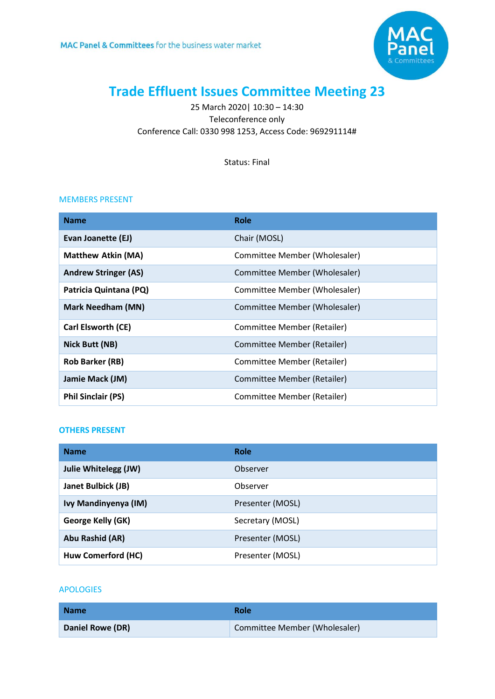

# **Trade Effluent Issues Committee Meeting 23**

25 March 2020| 10:30 – 14:30 Teleconference only Conference Call: 0330 998 1253, Access Code: 969291114#

Status: Final

#### MEMBERS PRESENT

| <b>Name</b>                 | Role                          |
|-----------------------------|-------------------------------|
| Evan Joanette (EJ)          | Chair (MOSL)                  |
| <b>Matthew Atkin (MA)</b>   | Committee Member (Wholesaler) |
| <b>Andrew Stringer (AS)</b> | Committee Member (Wholesaler) |
| Patricia Quintana (PQ)      | Committee Member (Wholesaler) |
| <b>Mark Needham (MN)</b>    | Committee Member (Wholesaler) |
| Carl Elsworth (CE)          | Committee Member (Retailer)   |
| Nick Butt (NB)              | Committee Member (Retailer)   |
| <b>Rob Barker (RB)</b>      | Committee Member (Retailer)   |
| Jamie Mack (JM)             | Committee Member (Retailer)   |
| <b>Phil Sinclair (PS)</b>   | Committee Member (Retailer)   |

#### **OTHERS PRESENT**

| <b>Name</b>          | <b>Role</b>      |
|----------------------|------------------|
| Julie Whitelegg (JW) | Observer         |
| Janet Bulbick (JB)   | Observer         |
| Ivy Mandinyenya (IM) | Presenter (MOSL) |
| George Kelly (GK)    | Secretary (MOSL) |
| Abu Rashid (AR)      | Presenter (MOSL) |
| Huw Comerford (HC)   | Presenter (MOSL) |

### APOLOGIES

| <b>Name</b>      | <b>Role</b>                   |
|------------------|-------------------------------|
| Daniel Rowe (DR) | Committee Member (Wholesaler) |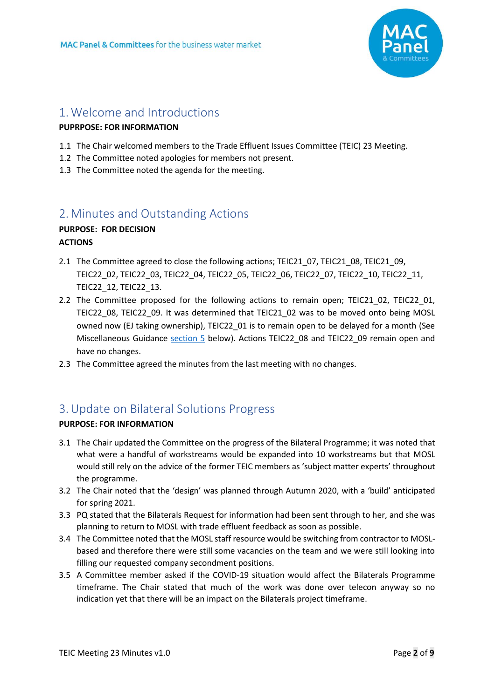

# 1.Welcome and Introductions

# **PUPRPOSE: FOR INFORMATION**

- <span id="page-1-0"></span>1.1 The Chair welcomed members to the Trade Effluent Issues Committee (TEIC) 23 Meeting.
- 1.2 The Committee noted apologies for members not present.
- 1.3 The Committee noted the agenda for the meeting.

# 2.[Minutes and Outstanding Actions](#page-1-0)

# **PURPOSE: FOR DECISION ACTIONS**

- 2.1 The Committee agreed to close the following actions; TEIC21\_07, TEIC21\_08, TEIC21\_09, TEIC22\_02, TEIC22\_03, TEIC22\_04, TEIC22\_05, TEIC22\_06, TEIC22\_07, TEIC22\_10, TEIC22\_11, TEIC22\_12, TEIC22\_13.
- 2.2 The Committee proposed for the following actions to remain open; TEIC21 02, TEIC22 01, TEIC22\_08, TEIC22\_09. It was determined that TEIC21\_02 was to be moved onto being MOSL owned now (EJ taking ownership), TEIC22\_01 is to remain open to be delayed for a month (See Miscellaneous Guidance [section 5](#page-2-0) below). Actions TEIC22\_08 and TEIC22\_09 remain open and have no changes.
- 2.3 The Committee agreed the minutes from the last meeting with no changes.

# 3.Update on Bilateral Solutions Progress

# **PURPOSE: FOR INFORMATION**

- 3.1 The Chair updated the Committee on the progress of the Bilateral Programme; it was noted that what were a handful of workstreams would be expanded into 10 workstreams but that MOSL would still rely on the advice of the former TEIC members as 'subject matter experts' throughout the programme.
- 3.2 The Chair noted that the 'design' was planned through Autumn 2020, with a 'build' anticipated for spring 2021.
- 3.3 PQ stated that the Bilaterals Request for information had been sent through to her, and she was planning to return to MOSL with trade effluent feedback as soon as possible.
- 3.4 The Committee noted that the MOSL staff resource would be switching from contractor to MOSLbased and therefore there were still some vacancies on the team and we were still looking into filling our requested company secondment positions.
- 3.5 A Committee member asked if the COVID-19 situation would affect the Bilaterals Programme timeframe. The Chair stated that much of the work was done over telecon anyway so no indication yet that there will be an impact on the Bilaterals project timeframe.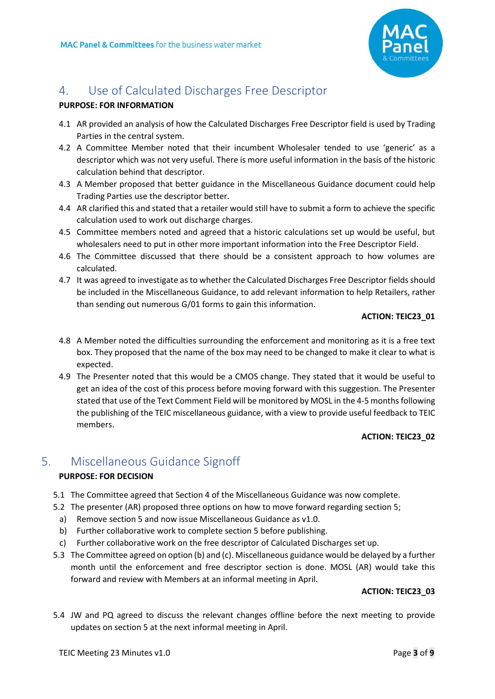

# 4. Use of Calculated Discharges Free Descriptor

### **PURPOSE: FOR INFORMATION**

- 4.1 AR provided an analysis of how the Calculated Discharges Free Descriptor field is used by Trading Parties in the central system.
- 4.2 A Committee Member noted that their incumbent Wholesaler tended to use 'generic' as a descriptor which was not very useful. There is more useful information in the basis of the historic calculation behind that descriptor.
- 4.3 A Member proposed that better guidance in the Miscellaneous Guidance document could help Trading Parties use the descriptor better.
- 4.4 AR clarified this and stated that a retailer would still have to submit a form to achieve the specific calculation used to work out discharge charges.
- 4.5 Committee members noted and agreed that a historic calculations set up would be useful, but wholesalers need to put in other more important information into the Free Descriptor Field.
- 4.6 The Committee discussed that there should be a consistent approach to how volumes are calculated.
- 4.7 It was agreed to investigate as to whether the Calculated Discharges Free Descriptor fields should be included in the Miscellaneous Guidance, to add relevant information to help Retailers, rather than sending out numerous G/01 forms to gain this information.

#### <span id="page-2-1"></span>**ACTION: TEIC23\_01**

- 4.8 A Member noted the difficulties surrounding the enforcement and monitoring as it is a free text box. They proposed that the name of the box may need to be changed to make it clear to what is expected.
- 4.9 The Presenter noted that this would be a CMOS change. They stated that it would be useful to get an idea of the cost of this process before moving forward with this suggestion. The Presenter stated that use of the Text Comment Field will be monitored by MOSL in the 4-5 months following the publishing of the TEIC miscellaneous guidance, with a view to provide useful feedback to TEIC members.

# <span id="page-2-2"></span>**ACTION: TEIC23\_02**

# <span id="page-2-0"></span>5. Miscellaneous Guidance Signoff

# **PURPOSE: FOR DECISION**

- 5.1 The Committee agreed that Section 4 of the Miscellaneous Guidance was now complete.
- 5.2 The presenter (AR) proposed three options on how to move forward regarding section 5;
- a) Remove section 5 and now issue Miscellaneous Guidance as v1.0.
- b) Further collaborative work to complete section 5 before publishing.
- c) Further collaborative work on the free descriptor of Calculated Discharges set up.
- 5.3 The Committee agreed on option (b) and (c). Miscellaneous guidance would be delayed by a further month until the enforcement and free descriptor section is done. MOSL (AR) would take this forward and review with Members at an informal meeting in April.

#### <span id="page-2-3"></span>**ACTION: TEIC23\_03**

5.4 JW and PQ agreed to discuss the relevant changes offline before the next meeting to provide updates on section 5 at the next informal meeting in April.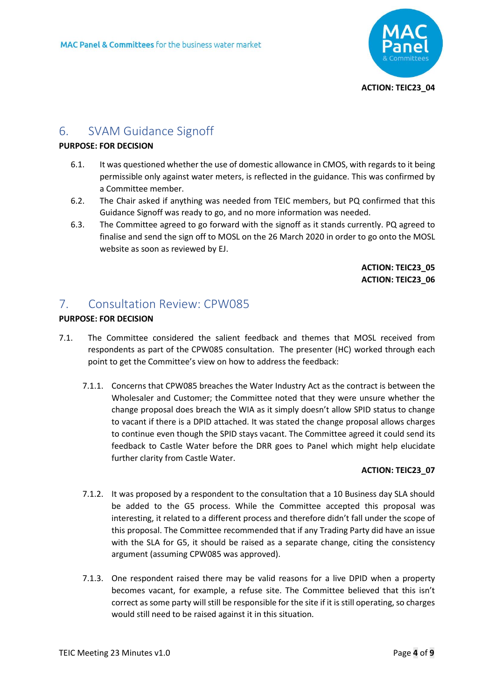<span id="page-3-0"></span>

# 6. SVAM Guidance Signoff

### **PURPOSE: FOR DECISION**

- 6.1. It was questioned whether the use of domestic allowance in CMOS, with regards to it being permissible only against water meters, is reflected in the guidance. This was confirmed by a Committee member.
- 6.2. The Chair asked if anything was needed from TEIC members, but PQ confirmed that this Guidance Signoff was ready to go, and no more information was needed.
- 6.3. The Committee agreed to go forward with the signoff as it stands currently. PQ agreed to finalise and send the sign off to MOSL on the 26 March 2020 in order to go onto the MOSL website as soon as reviewed by EJ.

<span id="page-3-2"></span><span id="page-3-1"></span>**ACTION: TEIC23\_05 ACTION: TEIC23\_06**

# 7. Consultation Review: CPW085

# **PURPOSE: FOR DECISION**

- 7.1. The Committee considered the salient feedback and themes that MOSL received from respondents as part of the CPW085 consultation. The presenter (HC) worked through each point to get the Committee's view on how to address the feedback:
	- 7.1.1. Concerns that CPW085 breaches the Water Industry Act as the contract is between the Wholesaler and Customer; the Committee noted that they were unsure whether the change proposal does breach the WIA as it simply doesn't allow SPID status to change to vacant if there is a DPID attached. It was stated the change proposal allows charges to continue even though the SPID stays vacant. The Committee agreed it could send its feedback to Castle Water before the DRR goes to Panel which might help elucidate further clarity from Castle Water.

# <span id="page-3-3"></span>**ACTION: TEIC23\_07**

- 7.1.2. It was proposed by a respondent to the consultation that a 10 Business day SLA should be added to the G5 process. While the Committee accepted this proposal was interesting, it related to a different process and therefore didn't fall under the scope of this proposal. The Committee recommended that if any Trading Party did have an issue with the SLA for G5, it should be raised as a separate change, citing the consistency argument (assuming CPW085 was approved).
- 7.1.3. One respondent raised there may be valid reasons for a live DPID when a property becomes vacant, for example, a refuse site. The Committee believed that this isn't correct as some party will still be responsible for the site if it is still operating, so charges would still need to be raised against it in this situation.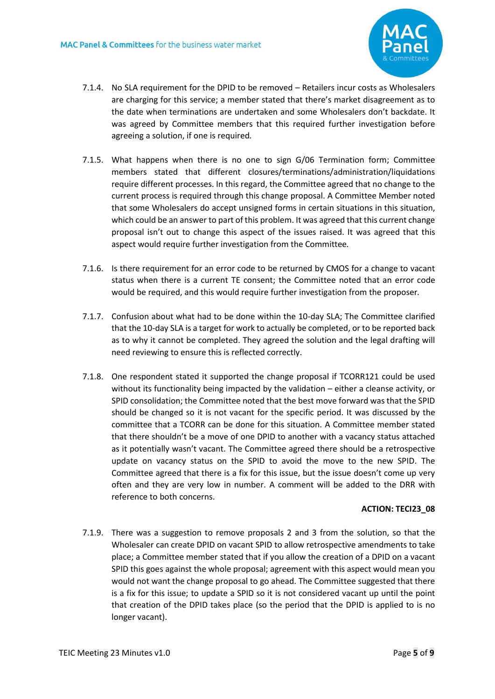

- 7.1.4. No SLA requirement for the DPID to be removed Retailers incur costs as Wholesalers are charging for this service; a member stated that there's market disagreement as to the date when terminations are undertaken and some Wholesalers don't backdate. It was agreed by Committee members that this required further investigation before agreeing a solution, if one is required*.*
- 7.1.5. What happens when there is no one to sign G/06 Termination form; Committee members stated that different closures/terminations/administration/liquidations require different processes. In this regard, the Committee agreed that no change to the current process is required through this change proposal. A Committee Member noted that some Wholesalers do accept unsigned forms in certain situations in this situation, which could be an answer to part of this problem. It was agreed that this current change proposal isn't out to change this aspect of the issues raised. It was agreed that this aspect would require further investigation from the Committee*.*
- 7.1.6. Is there requirement for an error code to be returned by CMOS for a change to vacant status when there is a current TE consent; the Committee noted that an error code would be required, and this would require further investigation from the proposer*.*
- 7.1.7. Confusion about what had to be done within the 10-day SLA; The Committee clarified that the 10-day SLA is a target for work to actually be completed, or to be reported back as to why it cannot be completed. They agreed the solution and the legal drafting will need reviewing to ensure this is reflected correctly.
- 7.1.8. One respondent stated it supported the change proposal if TCORR121 could be used without its functionality being impacted by the validation – either a cleanse activity, or SPID consolidation; the Committee noted that the best move forward was that the SPID should be changed so it is not vacant for the specific period. It was discussed by the committee that a TCORR can be done for this situation. A Committee member stated that there shouldn't be a move of one DPID to another with a vacancy status attached as it potentially wasn't vacant. The Committee agreed there should be a retrospective update on vacancy status on the SPID to avoid the move to the new SPID. The Committee agreed that there is a fix for this issue, but the issue doesn't come up very often and they are very low in number. A comment will be added to the DRR with reference to both concerns.

#### <span id="page-4-0"></span>**ACTION: TECI23\_08**

7.1.9. There was a suggestion to remove proposals 2 and 3 from the solution, so that the Wholesaler can create DPID on vacant SPID to allow retrospective amendments to take place; a Committee member stated that if you allow the creation of a DPID on a vacant SPID this goes against the whole proposal; agreement with this aspect would mean you would not want the change proposal to go ahead. The Committee suggested that there is a fix for this issue; to update a SPID so it is not considered vacant up until the point that creation of the DPID takes place (so the period that the DPID is applied to is no longer vacant).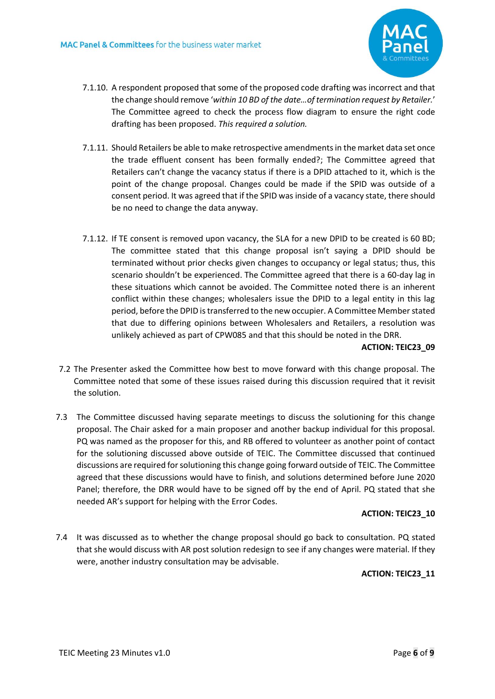

- 7.1.10. A respondent proposed that some of the proposed code drafting was incorrect and that the change should remove '*within 10 BD of the date…of termination request by Retailer.*' The Committee agreed to check the process flow diagram to ensure the right code drafting has been proposed. *This required a solution.*
- 7.1.11. Should Retailers be able to make retrospective amendments in the market data set once the trade effluent consent has been formally ended?; The Committee agreed that Retailers can't change the vacancy status if there is a DPID attached to it, which is the point of the change proposal. Changes could be made if the SPID was outside of a consent period. It was agreed that if the SPID was inside of a vacancy state, there should be no need to change the data anyway.
- 7.1.12. If TE consent is removed upon vacancy, the SLA for a new DPID to be created is 60 BD; The committee stated that this change proposal isn't saying a DPID should be terminated without prior checks given changes to occupancy or legal status; thus, this scenario shouldn't be experienced. The Committee agreed that there is a 60-day lag in these situations which cannot be avoided. The Committee noted there is an inherent conflict within these changes; wholesalers issue the DPID to a legal entity in this lag period, before the DPID is transferred to the new occupier. A Committee Member stated that due to differing opinions between Wholesalers and Retailers, a resolution was unlikely achieved as part of CPW085 and that this should be noted in the DRR.

#### <span id="page-5-0"></span>**ACTION: TEIC23\_09**

- 7.2 The Presenter asked the Committee how best to move forward with this change proposal. The Committee noted that some of these issues raised during this discussion required that it revisit the solution.
- 7.3 The Committee discussed having separate meetings to discuss the solutioning for this change proposal. The Chair asked for a main proposer and another backup individual for this proposal. PQ was named as the proposer for this, and RB offered to volunteer as another point of contact for the solutioning discussed above outside of TEIC. The Committee discussed that continued discussions are required forsolutioning this change going forward outside of TEIC. The Committee agreed that these discussions would have to finish, and solutions determined before June 2020 Panel; therefore, the DRR would have to be signed off by the end of April. PQ stated that she needed AR's support for helping with the Error Codes.

#### <span id="page-5-1"></span>**ACTION: TEIC23\_10**

7.4 It was discussed as to whether the change proposal should go back to consultation. PQ stated that she would discuss with AR post solution redesign to see if any changes were material. If they were, another industry consultation may be advisable.

#### <span id="page-5-2"></span>**ACTION: TEIC23\_11**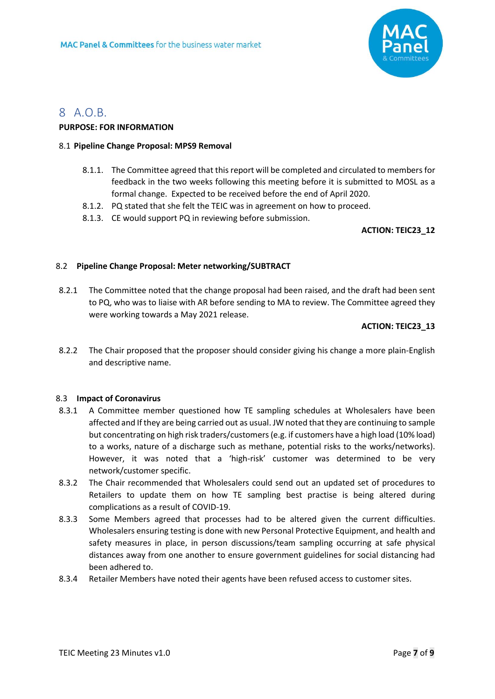

# 8 A.O.B.

### **PURPOSE: FOR INFORMATION**

### 8.1 **Pipeline Change Proposal: MPS9 Removal**

- 8.1.1. The Committee agreed that thisreport will be completed and circulated to members for feedback in the two weeks following this meeting before it is submitted to MOSL as a formal change. Expected to be received before the end of April 2020.
- 8.1.2. PQ stated that she felt the TEIC was in agreement on how to proceed.
- 8.1.3. CE would support PQ in reviewing before submission.

### <span id="page-6-0"></span>**ACTION: TEIC23\_12**

### 8.2 **Pipeline Change Proposal: Meter networking/SUBTRACT**

8.2.1 The Committee noted that the change proposal had been raised, and the draft had been sent to PQ, who was to liaise with AR before sending to MA to review. The Committee agreed they were working towards a May 2021 release.

### <span id="page-6-1"></span>**ACTION: TEIC23\_13**

8.2.2 The Chair proposed that the proposer should consider giving his change a more plain-English and descriptive name.

#### 8.3 **Impact of Coronavirus**

- 8.3.1 A Committee member questioned how TE sampling schedules at Wholesalers have been affected and If they are being carried out as usual. JW noted that they are continuing to sample but concentrating on high risk traders/customers(e.g. if customers have a high load (10% load) to a works, nature of a discharge such as methane, potential risks to the works/networks). However, it was noted that a 'high-risk' customer was determined to be very network/customer specific.
- 8.3.2 The Chair recommended that Wholesalers could send out an updated set of procedures to Retailers to update them on how TE sampling best practise is being altered during complications as a result of COVID-19.
- 8.3.3 Some Members agreed that processes had to be altered given the current difficulties. Wholesalers ensuring testing is done with new Personal Protective Equipment, and health and safety measures in place, in person discussions/team sampling occurring at safe physical distances away from one another to ensure government guidelines for social distancing had been adhered to.
- 8.3.4 Retailer Members have noted their agents have been refused access to customer sites.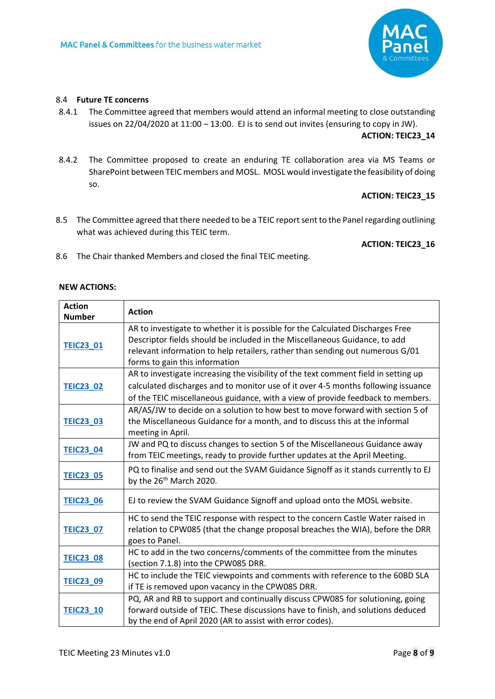

#### 8.4 **Future TE concerns**

8.4.1 The Committee agreed that members would attend an informal meeting to close outstanding issues on 22/04/2020 at 11:00 – 13:00. EJ is to send out invites (ensuring to copy in JW).

#### <span id="page-7-0"></span>**ACTION: TEIC23\_14**

8.4.2 The Committee proposed to create an enduring TE collaboration area via MS Teams or SharePoint between TEIC members and MOSL. MOSL would investigate the feasibility of doing so.

#### <span id="page-7-1"></span>**ACTION: TEIC23\_15**

8.5 The Committee agreed that there needed to be a TEIC report sent to the Panel regarding outlining what was achieved during this TEIC term.

#### <span id="page-7-2"></span>**ACTION: TEIC23\_16**

8.6 The Chair thanked Members and closed the final TEIC meeting.

#### **NEW ACTIONS:**

| <b>Action</b><br><b>Number</b> | <b>Action</b>                                                                                                                                                                                                                                                                   |
|--------------------------------|---------------------------------------------------------------------------------------------------------------------------------------------------------------------------------------------------------------------------------------------------------------------------------|
| <b>TEIC23_01</b>               | AR to investigate to whether it is possible for the Calculated Discharges Free<br>Descriptor fields should be included in the Miscellaneous Guidance, to add<br>relevant information to help retailers, rather than sending out numerous G/01<br>forms to gain this information |
| <b>TEIC23 02</b>               | AR to investigate increasing the visibility of the text comment field in setting up<br>calculated discharges and to monitor use of it over 4-5 months following issuance<br>of the TEIC miscellaneous guidance, with a view of provide feedback to members.                     |
| <b>TEIC23_03</b>               | AR/AS/JW to decide on a solution to how best to move forward with section 5 of<br>the Miscellaneous Guidance for a month, and to discuss this at the informal<br>meeting in April.                                                                                              |
| <b>TEIC23_04</b>               | JW and PQ to discuss changes to section 5 of the Miscellaneous Guidance away<br>from TEIC meetings, ready to provide further updates at the April Meeting.                                                                                                                      |
| <b>TEIC23_05</b>               | PQ to finalise and send out the SVAM Guidance Signoff as it stands currently to EJ<br>by the 26 <sup>th</sup> March 2020.                                                                                                                                                       |
| <b>TEIC23_06</b>               | EJ to review the SVAM Guidance Signoff and upload onto the MOSL website.                                                                                                                                                                                                        |
| <b>TEIC23 07</b>               | HC to send the TEIC response with respect to the concern Castle Water raised in<br>relation to CPW085 (that the change proposal breaches the WIA), before the DRR<br>goes to Panel.                                                                                             |
| <b>TEIC23_08</b>               | HC to add in the two concerns/comments of the committee from the minutes<br>(section 7.1.8) into the CPW085 DRR.                                                                                                                                                                |
| <b>TEIC23 09</b>               | HC to include the TEIC viewpoints and comments with reference to the 60BD SLA<br>if TE is removed upon vacancy in the CPW085 DRR.                                                                                                                                               |
| <b>TEIC23_10</b>               | PQ, AR and RB to support and continually discuss CPW085 for solutioning, going<br>forward outside of TEIC. These discussions have to finish, and solutions deduced<br>by the end of April 2020 (AR to assist with error codes).                                                 |